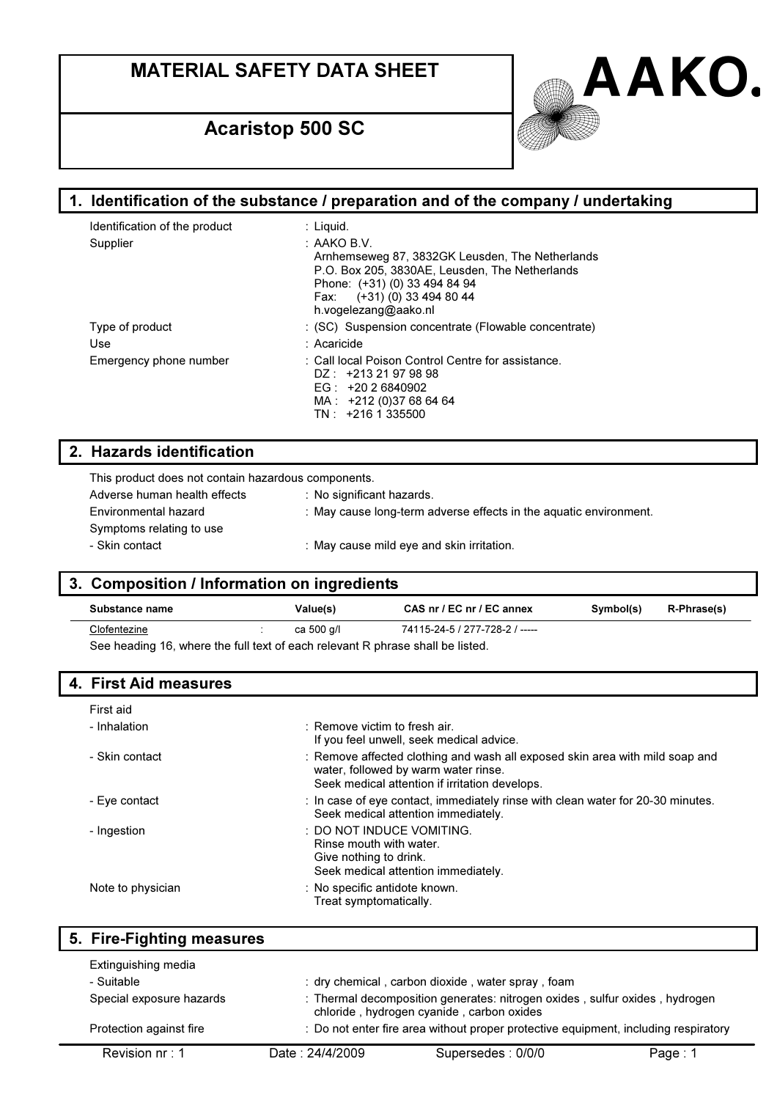

| 1. Identification of the substance / preparation and of the company / undertaking                                                                                                                                   |  |  |
|---------------------------------------------------------------------------------------------------------------------------------------------------------------------------------------------------------------------|--|--|
| : Liquid.                                                                                                                                                                                                           |  |  |
| $\therefore$ AAKO B.V.<br>Arnhemseweg 87, 3832GK Leusden, The Netherlands<br>P.O. Box 205, 3830AE, Leusden, The Netherlands<br>Phone: (+31) (0) 33 494 84 94<br>Fax: (+31) (0) 33 494 80 44<br>h.vogelezang@aako.nl |  |  |
| : (SC) Suspension concentrate (Flowable concentrate)                                                                                                                                                                |  |  |
| : Acaricide                                                                                                                                                                                                         |  |  |
| : Call local Poison Control Centre for assistance.<br>$DZ: +21321979898$<br>EG: $+20.26840902$<br>MA: +212 (0)37 68 64 64<br>$TN: +2161335500$                                                                      |  |  |
|                                                                                                                                                                                                                     |  |  |

### 2. Hazards identification

| This product does not contain hazardous components. |                                                                   |
|-----------------------------------------------------|-------------------------------------------------------------------|
| Adverse human health effects                        | : No significant hazards.                                         |
| Environmental hazard                                | : May cause long-term adverse effects in the aquatic environment. |
| Symptoms relating to use                            |                                                                   |
| - Skin contact                                      | : May cause mild eye and skin irritation.                         |
|                                                     |                                                                   |

## 3. Composition / Information on ingredients

| Substance name                                                                 | Value(s)   | CAS nr / EC nr / EC annex      | Symbol(s) | <b>R-Phrase(s)</b> |
|--------------------------------------------------------------------------------|------------|--------------------------------|-----------|--------------------|
| Clofentezine                                                                   | ca 500 g/l | 74115-24-5 / 277-728-2 / ----- |           |                    |
| See heading 16, where the full text of each relevant R phrase shall be listed. |            |                                |           |                    |

## 4. First Aid measures

| First aid         |                                                                                                                                                                        |
|-------------------|------------------------------------------------------------------------------------------------------------------------------------------------------------------------|
| - Inhalation      | $\pm$ Remove victim to fresh air.<br>If you feel unwell, seek medical advice.                                                                                          |
| - Skin contact    | : Remove affected clothing and wash all exposed skin area with mild soap and<br>water, followed by warm water rinse.<br>Seek medical attention if irritation develops. |
| - Eye contact     | : In case of eye contact, immediately rinse with clean water for 20-30 minutes.<br>Seek medical attention immediately.                                                 |
| - Ingestion       | : DO NOT INDUCE VOMITING.<br>Rinse mouth with water.<br>Give nothing to drink.<br>Seek medical attention immediately.                                                  |
| Note to physician | : No specific antidote known.<br>Treat symptomatically.                                                                                                                |

|            | 5. Fire-Fighting measures |                 |                                                                                                                          |         |
|------------|---------------------------|-----------------|--------------------------------------------------------------------------------------------------------------------------|---------|
|            | Extinguishing media       |                 |                                                                                                                          |         |
| - Suitable |                           |                 | : dry chemical, carbon dioxide, water spray, foam                                                                        |         |
|            | Special exposure hazards  |                 | : Thermal decomposition generates: nitrogen oxides, sulfur oxides, hydrogen<br>chloride, hydrogen cyanide, carbon oxides |         |
|            | Protection against fire   |                 | : Do not enter fire area without proper protective equipment, including respiratory                                      |         |
|            | Revision $nr: 1$          | Date: 24/4/2009 | Supersedes: 0/0/0                                                                                                        | Page: 1 |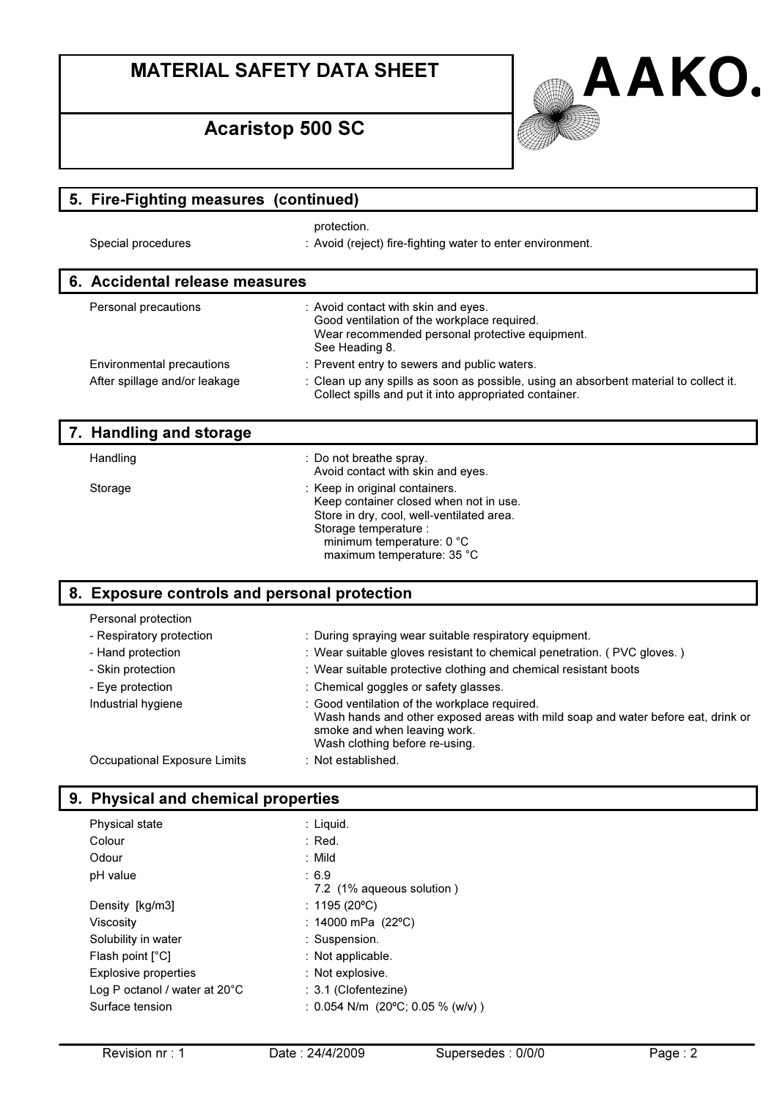## Acaristop 500 SC



| 5. Fire-Fighting measures (continued)        |                                                                                                                                                                                                           |  |
|----------------------------------------------|-----------------------------------------------------------------------------------------------------------------------------------------------------------------------------------------------------------|--|
|                                              | protection.                                                                                                                                                                                               |  |
| Special procedures                           | : Avoid (reject) fire-fighting water to enter environment.                                                                                                                                                |  |
| 6. Accidental release measures               |                                                                                                                                                                                                           |  |
| Personal precautions                         | : Avoid contact with skin and eyes.<br>Good ventilation of the workplace required.<br>Wear recommended personal protective equipment.<br>See Heading 8.                                                   |  |
| Environmental precautions                    | : Prevent entry to sewers and public waters.                                                                                                                                                              |  |
| After spillage and/or leakage                | : Clean up any spills as soon as possible, using an absorbent material to collect it.<br>Collect spills and put it into appropriated container.                                                           |  |
| 7. Handling and storage                      |                                                                                                                                                                                                           |  |
| Handling                                     | : Do not breathe spray.<br>Avoid contact with skin and eyes.                                                                                                                                              |  |
| Storage                                      | : Keep in original containers.<br>Keep container closed when not in use.<br>Store in dry, cool, well-ventilated area.<br>Storage temperature :<br>minimum temperature: 0 °C<br>maximum temperature: 35 °C |  |
| 8. Exposure controls and personal protection |                                                                                                                                                                                                           |  |
| Personal protection                          |                                                                                                                                                                                                           |  |
| - Respiratory protection                     | : During spraying wear suitable respiratory equipment.                                                                                                                                                    |  |
| - Hand protection                            | : Wear suitable gloves resistant to chemical penetration. (PVC gloves.)                                                                                                                                   |  |
| - Skin protection                            | : Wear suitable protective clothing and chemical resistant boots                                                                                                                                          |  |
| - Eye protection                             | : Chemical goggles or safety glasses.                                                                                                                                                                     |  |
| Industrial hygiene                           | : Good ventilation of the workplace required.<br>Wash hands and other exposed areas with mild soap and water before eat, drink or<br>smoke and when leaving work.<br>Wash clothing before re-using.       |  |
| <b>Occupational Exposure Limits</b>          | : Not established.                                                                                                                                                                                        |  |
| 9. Physical and chemical properties          |                                                                                                                                                                                                           |  |
| Physical state                               | : Liquid.                                                                                                                                                                                                 |  |
| Colour                                       | : Red.                                                                                                                                                                                                    |  |

| Odour                                   | : Mild                           |
|-----------------------------------------|----------------------------------|
| pH value                                | : 6.9                            |
|                                         | 7.2 (1% aqueous solution)        |
| Density [kg/m3]                         | : 1195 (20 °C)                   |
| Viscositv                               | : 14000 mPa $(22^{\circ}C)$      |
| Solubility in water                     | : Suspension.                    |
| Flash point $[^{\circ}C]$               | $:$ Not applicable.              |
| <b>Explosive properties</b>             | : Not explosive.                 |
| Log P octanol / water at $20^{\circ}$ C | : 3.1 (Clofentezine)             |
| Surface tension                         | : 0.054 N/m (20°C; 0.05 % (w/v)) |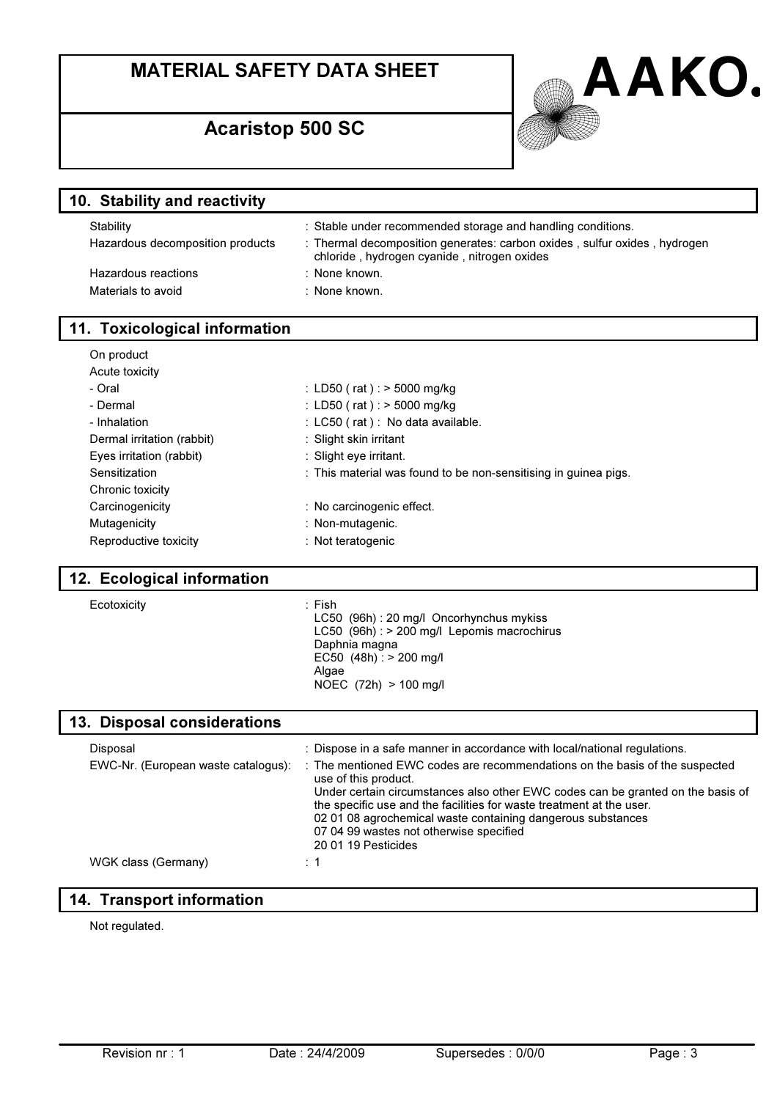

#### 10. Stability and reactivity

| Stability                        | : Stable under recommended storage and handling conditions.                                                              |
|----------------------------------|--------------------------------------------------------------------------------------------------------------------------|
| Hazardous decomposition products | : Thermal decomposition generates: carbon oxides, sulfur oxides, hydrogen<br>chloride, hydrogen cyanide, nitrogen oxides |
| Hazardous reactions              | : None known.                                                                                                            |
| Materials to avoid               | : None known.                                                                                                            |
|                                  |                                                                                                                          |

### 11. Toxicological information

| On product                 |                                                                 |
|----------------------------|-----------------------------------------------------------------|
| Acute toxicity             |                                                                 |
| - Oral                     | : LD50 (rat) : $>$ 5000 mg/kg                                   |
| - Dermal                   | : LD50 (rat) : $>$ 5000 mg/kg                                   |
| - Inhalation               | : $LCSO$ (rat): No data available.                              |
| Dermal irritation (rabbit) | : Slight skin irritant                                          |
| Eyes irritation (rabbit)   | : Slight eye irritant.                                          |
| Sensitization              | : This material was found to be non-sensitising in quinea pigs. |
| Chronic toxicity           |                                                                 |
| Carcinogenicity            | : No carcinogenic effect.                                       |
| Mutagenicity               | : Non-mutagenic.                                                |
| Reproductive toxicity      | : Not teratogenic                                               |

#### 12. Ecological information

| Ecotoxicity |
|-------------|
|-------------|

#### : Fish

LC50 (96h) : 20 mg/l Oncorhynchus mykiss LC50 (96h) : > 200 mg/l Lepomis macrochirus Daphnia magna EC50  $(48h)$  : > 200 mg/l Algae NOEC (72h) > 100 mg/l

#### 13. Disposal considerations

| Disposal                            | : Dispose in a safe manner in accordance with local/national regulations.                                                                               |
|-------------------------------------|---------------------------------------------------------------------------------------------------------------------------------------------------------|
| EWC-Nr. (European waste catalogus): | : The mentioned EWC codes are recommendations on the basis of the suspected<br>use of this product.                                                     |
|                                     | Under certain circumstances also other EWC codes can be granted on the basis of<br>the specific use and the facilities for waste treatment at the user. |
|                                     | 02 01 08 agrochemical waste containing dangerous substances                                                                                             |
|                                     | 07 04 99 wastes not otherwise specified                                                                                                                 |
|                                     | 20 01 19 Pesticides                                                                                                                                     |
| WGK class (Germany)                 |                                                                                                                                                         |

### 14. Transport information

Not regulated.